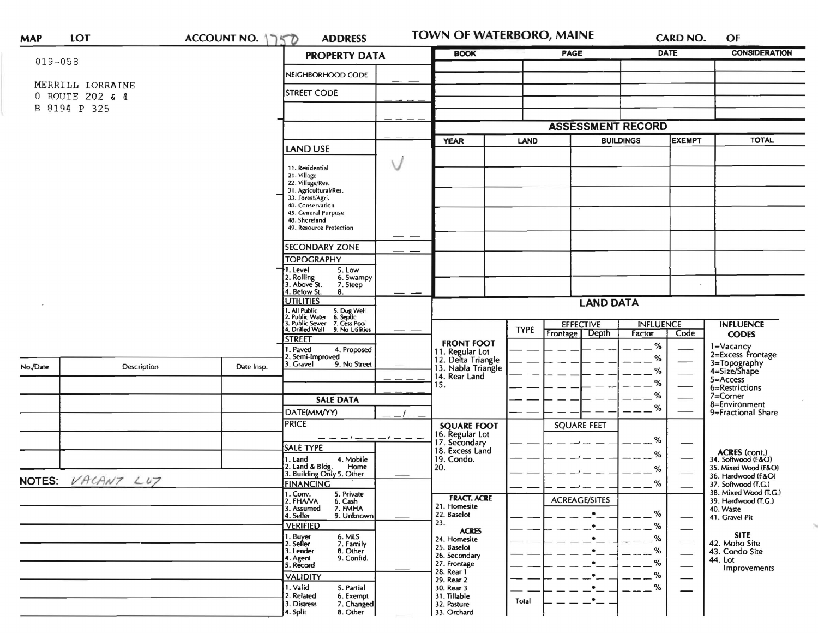| <b>MAP</b>        | LOT                                 | ACCOUNT NO. 1750 | <b>ADDRESS</b>                                                                                                                | TOWN OF WATERBORO, MAINE                                    |                  |                                    |        | <b>CARD NO.</b> | OF                                         |  |
|-------------------|-------------------------------------|------------------|-------------------------------------------------------------------------------------------------------------------------------|-------------------------------------------------------------|------------------|------------------------------------|--------|-----------------|--------------------------------------------|--|
| $019 - 058$       |                                     |                  | <b>PROPERTY DATA</b>                                                                                                          | <b>BOOK</b>                                                 |                  | <b>PAGE</b>                        |        | <b>DATE</b>     | <b>CONSIDERATION</b>                       |  |
|                   |                                     |                  | NEIGHBORHOOD CODE                                                                                                             |                                                             |                  |                                    |        |                 |                                            |  |
|                   | MERRILL LORRAINE<br>0 ROUTE 202 & 4 |                  | <b>STREET CODE</b>                                                                                                            |                                                             |                  |                                    |        |                 |                                            |  |
|                   | B 8194 P 325                        |                  |                                                                                                                               |                                                             |                  |                                    |        |                 |                                            |  |
|                   |                                     |                  |                                                                                                                               |                                                             |                  | <b>ASSESSMENT RECORD</b>           |        |                 |                                            |  |
|                   |                                     |                  |                                                                                                                               | <b>YEAR</b>                                                 | LAND             | <b>BUILDINGS</b>                   |        | <b>EXEMPT</b>   | <b>TOTAL</b>                               |  |
|                   |                                     |                  | LAND USE                                                                                                                      |                                                             |                  |                                    |        |                 |                                            |  |
|                   |                                     |                  | 11. Residential                                                                                                               |                                                             |                  |                                    |        |                 |                                            |  |
|                   |                                     |                  | 21. Village<br>22. Village/Res.                                                                                               |                                                             |                  |                                    |        |                 |                                            |  |
|                   |                                     |                  | 31. Agricultural/Res.<br>33. Forest/Agri.                                                                                     |                                                             |                  |                                    |        |                 |                                            |  |
|                   |                                     |                  | 40. Conservation<br>45. General Purpose                                                                                       |                                                             |                  |                                    |        |                 |                                            |  |
|                   |                                     |                  | 48. Shoreland                                                                                                                 |                                                             |                  |                                    |        |                 |                                            |  |
|                   |                                     |                  | 49. Resource Protection                                                                                                       | $ -$                                                        |                  |                                    |        |                 |                                            |  |
|                   |                                     |                  | <b>SECONDARY ZONE</b>                                                                                                         |                                                             |                  |                                    |        |                 |                                            |  |
|                   |                                     |                  | <b>TOPOGRAPHY</b><br>1. Level<br>5. Low                                                                                       |                                                             |                  |                                    |        |                 |                                            |  |
|                   |                                     |                  | 2. Rolling<br>3. Above St.<br>6. Swampy                                                                                       |                                                             |                  |                                    |        |                 |                                            |  |
|                   |                                     |                  | 7. Steep<br>4. Below St.<br>8.                                                                                                |                                                             |                  |                                    |        |                 |                                            |  |
|                   |                                     |                  | <b>UTILITIES</b>                                                                                                              |                                                             | <b>LAND DATA</b> |                                    |        |                 |                                            |  |
|                   |                                     |                  | 1. All Public 5. Dug Well<br>1. All Public Vater 6. Septic<br>3. Public Sewer 7. Cess Pool<br>4. Drilled Well 9. No Utilities |                                                             |                  | <b>INFLUENCE</b>                   |        |                 | <b>INFLUENCE</b>                           |  |
|                   |                                     |                  |                                                                                                                               | __                                                          | <b>TYPE</b>      | <b>EFFECTIVE</b><br>Frontage Depth | Factor | Code            | <b>CODES</b>                               |  |
|                   |                                     |                  | <b>STREET</b><br>1. Paved<br>4. Proposed                                                                                      | <b>FRONT FOOT</b>                                           |                  |                                    | %      |                 | 1=Vacancy<br>2=Excess Frontage             |  |
| No./Date          |                                     | Date Insp.       | 2. Semi-Improved<br>3. Gravel<br>9. No Street                                                                                 | 11. Regular Lot<br>12. Delta Triangle<br>13. Nabla Triangle |                  |                                    | $\%$   |                 |                                            |  |
|                   | Description                         |                  |                                                                                                                               | 14. Rear Land                                               |                  |                                    | %      |                 | 3=Topography<br>4=Size/Shape               |  |
|                   |                                     |                  |                                                                                                                               | 15.                                                         |                  |                                    | %      |                 | $5 = Access$<br>6=Restrictions             |  |
|                   |                                     |                  | <b>SALE DATA</b>                                                                                                              |                                                             |                  |                                    | %      |                 | 7=Corner                                   |  |
|                   |                                     |                  | DATE(MM/YY)                                                                                                                   |                                                             |                  |                                    | %      |                 | 8=Environment<br>9=Fractional Share        |  |
|                   |                                     |                  | <b>PRICE</b>                                                                                                                  | <b>SQUARE FOOT</b>                                          |                  | <b>SQUARE FEET</b>                 |        |                 |                                            |  |
|                   |                                     |                  |                                                                                                                               | 16. Regular Lot<br>17. Secondary                            |                  |                                    | %      |                 |                                            |  |
|                   |                                     |                  | <b>SALE TYPE</b><br>4. Mobile                                                                                                 | 18. Excess Land<br>19. Condo.                               |                  |                                    | %      |                 | <b>ACRES</b> (cont.)                       |  |
|                   |                                     |                  | 1. Land<br>2. Land & Bldg. Home<br>3. Building Only 5. Other<br>Home                                                          | 20.                                                         |                  |                                    | %      |                 | 34. Softwood (F&O)<br>35. Mixed Wood (F&O) |  |
| NOTES: VACANT LUT |                                     |                  | <b>FINANCING</b>                                                                                                              |                                                             |                  |                                    | $\%$   |                 | 36. Hardwood (F&O)<br>37. Softwood (T.G.)  |  |
|                   |                                     |                  | 1. Conv.<br>5. Private                                                                                                        | <b>FRACT. ACRE</b>                                          |                  |                                    |        |                 | 38. Mixed Wood (T.G.)                      |  |
|                   |                                     |                  | 2. FHAVA<br>6. Cash<br>7. FMHA<br>3. Assumed                                                                                  | 21. Homesite                                                |                  | <b>ACREAGE/SITES</b>               |        |                 | 39. Hardwood (T.G.)<br>40. Waste           |  |
|                   |                                     |                  | 4. Seller<br>9. Unknown                                                                                                       | 22. Baselot<br>23.                                          |                  |                                    | %      |                 | 41. Gravel Pit                             |  |
|                   |                                     |                  | <b>VERIFIED</b>                                                                                                               | <b>ACRES</b>                                                |                  |                                    | %<br>% |                 | <b>SITE</b>                                |  |
|                   |                                     |                  | 1. Buyer<br>2. Seller<br>6. MLS<br>7. Family                                                                                  | 24. Homesite<br>25. Baselot                                 |                  | ٠                                  | $-$ %  |                 | 42. Moho Site                              |  |
|                   |                                     |                  | 3. Lender<br>8. Other<br>9. Confid.<br>4. Agent                                                                               | 26. Secondary                                               |                  |                                    | $\%$   |                 | 43. Condo Site<br>44. Lot                  |  |
|                   |                                     |                  | 5. Record                                                                                                                     | 27. Frontage<br>28. Rear 1                                  |                  |                                    | %      |                 | Improvements                               |  |
|                   |                                     |                  | <b>VALIDITY</b><br>1. Valid<br>5. Partial                                                                                     | 29. Rear 2<br>30. Rear 3                                    |                  |                                    | %      |                 |                                            |  |
|                   |                                     |                  | 2. Related<br>6. Exempt                                                                                                       | 31. Tillable                                                | Total            | $\bullet$                          |        |                 |                                            |  |
|                   |                                     |                  | 3. Distress<br>7. Changed<br>8. Other<br>4. Split                                                                             | 32. Pasture<br>33. Orchard                                  |                  |                                    |        |                 |                                            |  |